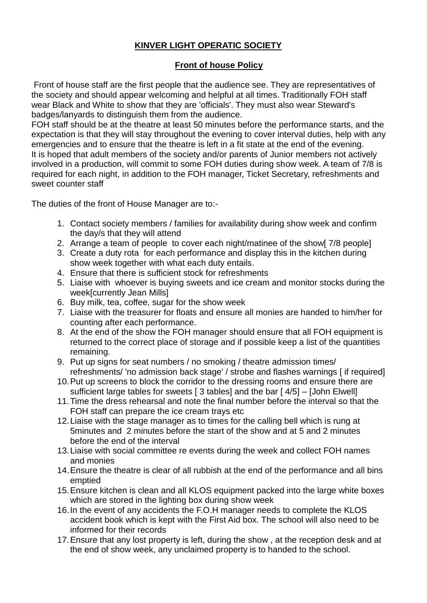# **KINVER LIGHT OPERATIC SOCIETY**

## **Front of house Policy**

Front of house staff are the first people that the audience see. They are representatives of the society and should appear welcoming and helpful at all times. Traditionally FOH staff wear Black and White to show that they are 'officials'. They must also wear Steward's badges/lanyards to distinguish them from the audience.

FOH staff should be at the theatre at least 50 minutes before the performance starts, and the expectation is that they will stay throughout the evening to cover interval duties, help with any emergencies and to ensure that the theatre is left in a fit state at the end of the evening. It is hoped that adult members of the society and/or parents of Junior members not actively involved in a production, will commit to some FOH duties during show week. A team of 7/8 is required for each night, in addition to the FOH manager, Ticket Secretary, refreshments and sweet counter staff

The duties of the front of House Manager are to:-

- 1. Contact society members / families for availability during show week and confirm the day/s that they will attend
- 2. Arrange a team of people to cover each night/matinee of the show[ 7/8 people]
- 3. Create a duty rota for each performance and display this in the kitchen during show week together with what each duty entails.
- 4. Ensure that there is sufficient stock for refreshments
- 5. Liaise with whoever is buying sweets and ice cream and monitor stocks during the week[currently Jean Mills]
- 6. Buy milk, tea, coffee, sugar for the show week
- 7. Liaise with the treasurer for floats and ensure all monies are handed to him/her for counting after each performance.
- 8. At the end of the show the FOH manager should ensure that all FOH equipment is returned to the correct place of storage and if possible keep a list of the quantities remaining.
- 9. Put up signs for seat numbers / no smoking / theatre admission times/ refreshments/ 'no admission back stage' / strobe and flashes warnings [ if required]
- 10.Put up screens to block the corridor to the dressing rooms and ensure there are sufficient large tables for sweets [ 3 tables] and the bar [ 4/5] – [John Elwell]
- 11.Time the dress rehearsal and note the final number before the interval so that the FOH staff can prepare the ice cream trays etc
- 12.Liaise with the stage manager as to times for the calling bell which is rung at 5minutes and 2 minutes before the start of the show and at 5 and 2 minutes before the end of the interval
- 13.Liaise with social committee re events during the week and collect FOH names and monies
- 14.Ensure the theatre is clear of all rubbish at the end of the performance and all bins emptied
- 15.Ensure kitchen is clean and all KLOS equipment packed into the large white boxes which are stored in the lighting box during show week
- 16.In the event of any accidents the F.O.H manager needs to complete the KLOS accident book which is kept with the First Aid box. The school will also need to be informed for their records
- 17.Ensure that any lost property is left, during the show , at the reception desk and at the end of show week, any unclaimed property is to handed to the school.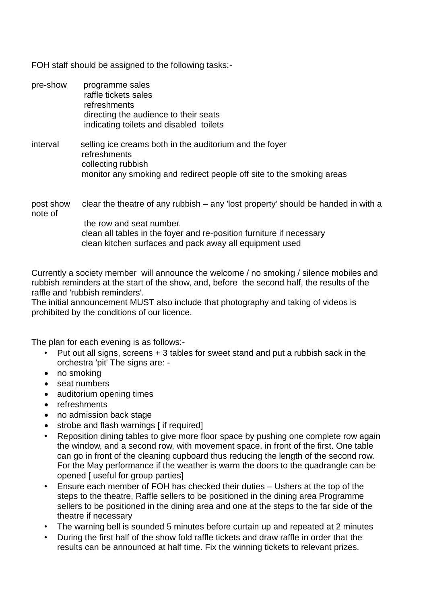FOH staff should be assigned to the following tasks:-

pre-show programme sales raffle tickets sales refreshments directing the audience to their seats indicating toilets and disabled toilets interval selling ice creams both in the auditorium and the foyer refreshments collecting rubbish monitor any smoking and redirect people off site to the smoking areas post show clear the theatre of any rubbish – any 'lost property' should be handed in with a note of

> the row and seat number. clean all tables in the foyer and re-position furniture if necessary clean kitchen surfaces and pack away all equipment used

Currently a society member will announce the welcome / no smoking / silence mobiles and rubbish reminders at the start of the show, and, before the second half, the results of the raffle and 'rubbish reminders'.

The initial announcement MUST also include that photography and taking of videos is prohibited by the conditions of our licence.

The plan for each evening is as follows:-

- Put out all signs, screens + 3 tables for sweet stand and put a rubbish sack in the orchestra 'pit' The signs are: -
- no smoking
- seat numbers
- auditorium opening times
- refreshments
- no admission back stage
- strobe and flash warnings [ if required]
- Reposition dining tables to give more floor space by pushing one complete row again the window, and a second row, with movement space, in front of the first. One table can go in front of the cleaning cupboard thus reducing the length of the second row. For the May performance if the weather is warm the doors to the quadrangle can be opened [ useful for group parties]
- Ensure each member of FOH has checked their duties Ushers at the top of the steps to the theatre, Raffle sellers to be positioned in the dining area Programme sellers to be positioned in the dining area and one at the steps to the far side of the theatre if necessary
- The warning bell is sounded 5 minutes before curtain up and repeated at 2 minutes
- During the first half of the show fold raffle tickets and draw raffle in order that the results can be announced at half time. Fix the winning tickets to relevant prizes.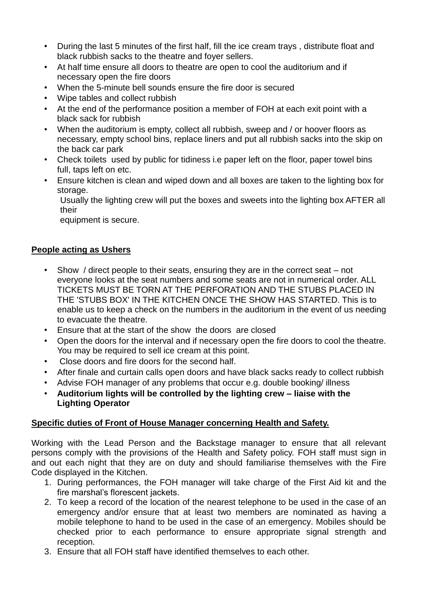- During the last 5 minutes of the first half, fill the ice cream trays , distribute float and black rubbish sacks to the theatre and foyer sellers.
- At half time ensure all doors to theatre are open to cool the auditorium and if necessary open the fire doors
- When the 5-minute bell sounds ensure the fire door is secured
- Wipe tables and collect rubbish
- At the end of the performance position a member of FOH at each exit point with a black sack for rubbish
- When the auditorium is empty, collect all rubbish, sweep and / or hoover floors as necessary, empty school bins, replace liners and put all rubbish sacks into the skip on the back car park
- Check toilets used by public for tidiness i.e paper left on the floor, paper towel bins full, taps left on etc.
- Ensure kitchen is clean and wiped down and all boxes are taken to the lighting box for storage.

Usually the lighting crew will put the boxes and sweets into the lighting box AFTER all their

equipment is secure.

### **People acting as Ushers**

- Show / direct people to their seats, ensuring they are in the correct seat not everyone looks at the seat numbers and some seats are not in numerical order. ALL TICKETS MUST BE TORN AT THE PERFORATION AND THE STUBS PLACED IN THE 'STUBS BOX' IN THE KITCHEN ONCE THE SHOW HAS STARTED. This is to enable us to keep a check on the numbers in the auditorium in the event of us needing to evacuate the theatre.
- Ensure that at the start of the show the doors are closed
- Open the doors for the interval and if necessary open the fire doors to cool the theatre. You may be required to sell ice cream at this point.
- Close doors and fire doors for the second half.
- After finale and curtain calls open doors and have black sacks ready to collect rubbish
- Advise FOH manager of any problems that occur e.g. double booking/ illness
- **Auditorium lights will be controlled by the lighting crew – liaise with the Lighting Operator**

### **Specific duties of Front of House Manager concerning Health and Safety.**

Working with the Lead Person and the Backstage manager to ensure that all relevant persons comply with the provisions of the Health and Safety policy. FOH staff must sign in and out each night that they are on duty and should familiarise themselves with the Fire Code displayed in the Kitchen.

- 1. During performances, the FOH manager will take charge of the First Aid kit and the fire marshal's florescent jackets.
- 2. To keep a record of the location of the nearest telephone to be used in the case of an emergency and/or ensure that at least two members are nominated as having a mobile telephone to hand to be used in the case of an emergency. Mobiles should be checked prior to each performance to ensure appropriate signal strength and reception.
- 3. Ensure that all FOH staff have identified themselves to each other.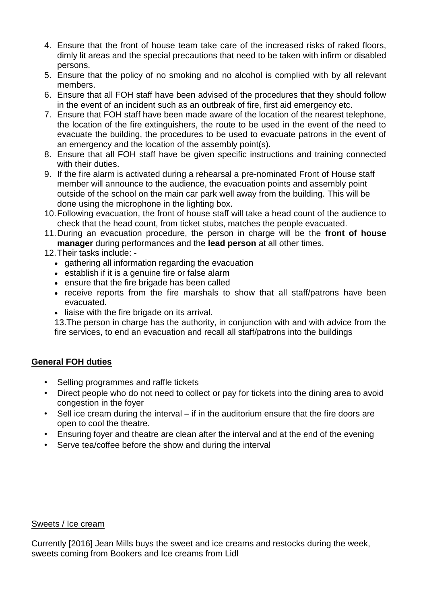- 4. Ensure that the front of house team take care of the increased risks of raked floors, dimly lit areas and the special precautions that need to be taken with infirm or disabled persons.
- 5. Ensure that the policy of no smoking and no alcohol is complied with by all relevant members.
- 6. Ensure that all FOH staff have been advised of the procedures that they should follow in the event of an incident such as an outbreak of fire, first aid emergency etc.
- 7. Ensure that FOH staff have been made aware of the location of the nearest telephone, the location of the fire extinguishers, the route to be used in the event of the need to evacuate the building, the procedures to be used to evacuate patrons in the event of an emergency and the location of the assembly point(s).
- 8. Ensure that all FOH staff have be given specific instructions and training connected with their duties.
- 9. If the fire alarm is activated during a rehearsal a pre-nominated Front of House staff member will announce to the audience, the evacuation points and assembly point outside of the school on the main car park well away from the building. This will be done using the microphone in the lighting box.
- 10.Following evacuation, the front of house staff will take a head count of the audience to check that the head count, from ticket stubs, matches the people evacuated.
- 11.During an evacuation procedure, the person in charge will be the **front of house manager** during performances and the **lead person** at all other times.
- 12.Their tasks include:
	- gathering all information regarding the evacuation
	- establish if it is a genuine fire or false alarm
	- ensure that the fire brigade has been called
	- receive reports from the fire marshals to show that all staff/patrons have been evacuated.
	- liaise with the fire brigade on its arrival.

13.The person in charge has the authority, in conjunction with and with advice from the fire services, to end an evacuation and recall all staff/patrons into the buildings

## **General FOH duties**

- Selling programmes and raffle tickets
- Direct people who do not need to collect or pay for tickets into the dining area to avoid congestion in the foyer
- Sell ice cream during the interval if in the auditorium ensure that the fire doors are open to cool the theatre.
- Ensuring foyer and theatre are clean after the interval and at the end of the evening
- Serve tea/coffee before the show and during the interval

#### Sweets / Ice cream

Currently [2016] Jean Mills buys the sweet and ice creams and restocks during the week, sweets coming from Bookers and Ice creams from Lidl